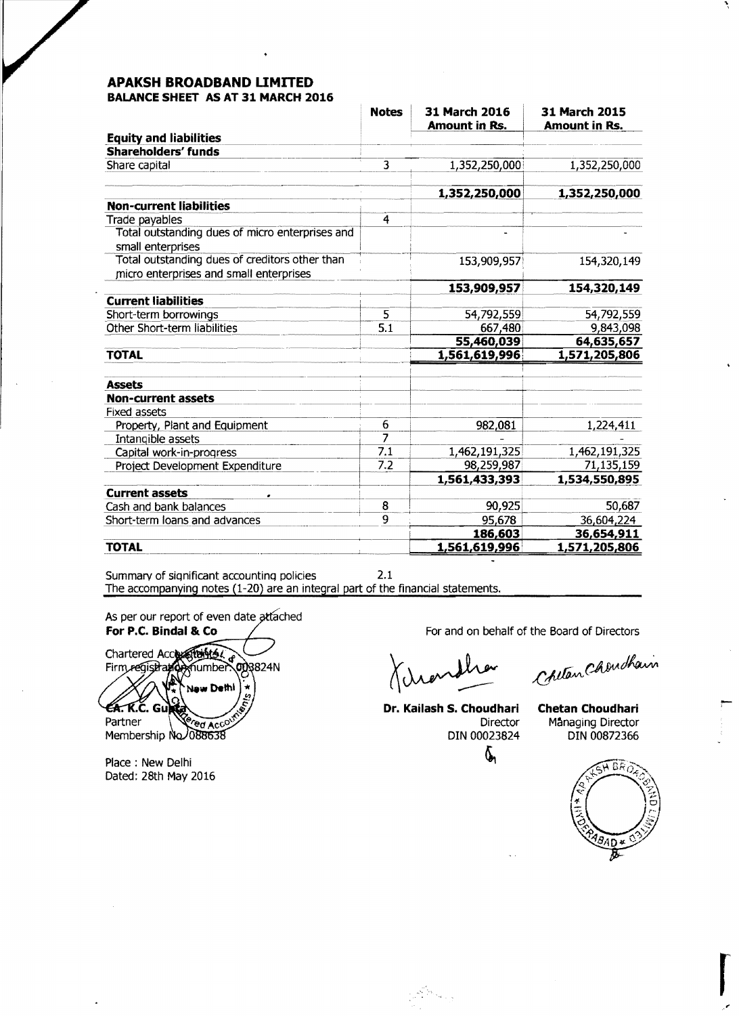### **APAKSH BROADBAND LIMITED BALANCE SHEET AS AT 31 MARCH 2016**

|                                                                      | <b>Notes</b>   | 31 March 2016<br>Amount in Rs. | 31 March 2015<br><b>Amount in Rs.</b> |
|----------------------------------------------------------------------|----------------|--------------------------------|---------------------------------------|
| <b>Equity and liabilities</b>                                        |                |                                |                                       |
| <b>Shareholders' funds</b>                                           |                |                                |                                       |
| Share capital                                                        | 3              | 1,352,250,000                  | 1,352,250,000                         |
|                                                                      |                |                                |                                       |
|                                                                      |                | 1,352,250,000                  | 1,352,250,000                         |
| <b>Non-current liabilities</b>                                       |                |                                |                                       |
| Trade payables                                                       | $\overline{4}$ |                                |                                       |
| Total outstanding dues of micro enterprises and<br>small enterprises |                |                                |                                       |
| Total outstanding dues of creditors other than                       |                | 153,909,957                    | 154,320,149                           |
| micro enterprises and small enterprises                              |                |                                |                                       |
|                                                                      |                | 153,909,957                    | 154,320,149                           |
| <b>Current liabilities</b>                                           |                |                                |                                       |
| Short-term borrowings                                                | 5              | 54,792,559                     | 54,792,559                            |
| Other Short-term liabilities                                         | 5.1            | 667,480                        | 9,843,098                             |
|                                                                      |                | 55,460,039                     | 64,635,657                            |
| <b>TOTAL</b>                                                         |                | 1,561,619,996                  | 1,571,205,806                         |
| <b>Assets</b>                                                        |                |                                |                                       |
|                                                                      |                |                                |                                       |
| <b>Non-current assets</b>                                            |                |                                |                                       |
| Fixed assets                                                         | 6              |                                |                                       |
| Property, Plant and Equipment                                        | 7              | 982,081                        | 1,224,411                             |
| Intangible assets                                                    | 7.1            | 1,462,191,325                  | 1,462,191,325                         |
| Capital work-in-progress                                             | 7.2            |                                |                                       |
| Project Development Expenditure                                      |                | 98,259,987                     | 71,135,159                            |
|                                                                      |                | 1,561,433,393                  | 1,534,550,895                         |
| <b>Current assets</b>                                                |                |                                |                                       |
| Cash and bank balances                                               | 8              | 90,925                         | 50,687                                |
| Short-term loans and advances                                        | 9              | 95,678                         | 36,604,224                            |
|                                                                      |                | 186,603                        | 36,654,911                            |
| <b>TOTAL</b>                                                         |                | 1,561,619,996                  | 1,571,205,806                         |

Summary of siqnificant accountinq policies 2.1 The accompanying notes (1-20) are an integral part of the financial statements.

As per our report of even date attached

For **P.C. Bindal & Co**<br>Chartered Accordinates and **Contract Contract of Contract of Directors**<br>Firm registration number 003824N<br>A Later and Charter Chardham New Dethi  $4.5.$  K.C. Guntz Partner *ed Acco* 

Membership No 088638

Place : New Delhi Dated: 28th May 2016

**Dr. Kailash S. Choudhari Chetan Choudhari** 

an Sala

~

Director Managing Director<br>DIN 00023824 DIN 00872366 DIN 00872366



**results**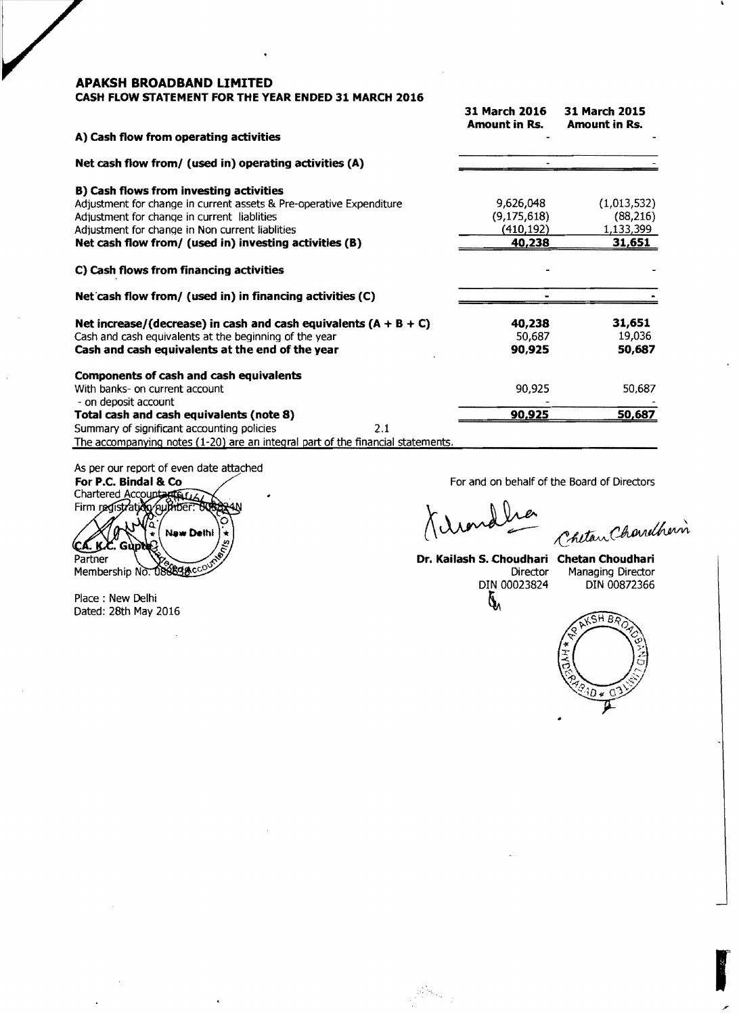### **CASH FLOW STATEMENT FOR THE YEAR ENDED 31 MARCH 2016**

|                                                                                 | 31 March 2016<br>Amount in Rs. | <b>31 March 2015</b><br><b>Amount in Rs.</b> |
|---------------------------------------------------------------------------------|--------------------------------|----------------------------------------------|
| A) Cash flow from operating activities                                          |                                |                                              |
| Net cash flow from/ (used in) operating activities (A)                          |                                |                                              |
| <b>B) Cash flows from investing activities</b>                                  |                                |                                              |
| Adjustment for change in current assets & Pre-operative Expenditure             | 9,626,048                      | (1,013,532)                                  |
| Adjustment for change in current liablities                                     | (9,175,618)                    | (88, 216)                                    |
| Adjustment for change in Non current liablities                                 | (410,192)                      | 1,133,399                                    |
| Net cash flow from/ (used in) investing activities (B)                          | 40,238                         | 31,651                                       |
| C) Cash flows from financing activities                                         |                                |                                              |
| Net cash flow from/ (used in) in financing activities (C)                       |                                |                                              |
| Net increase/(decrease) in cash and cash equivalents $(A + B + C)$              | 40,238                         | 31,651                                       |
| Cash and cash equivalents at the beginning of the year                          | 50,687                         | 19,036                                       |
| Cash and cash equivalents at the end of the year                                | 90,925                         | 50,687                                       |
| Components of cash and cash equivalents                                         |                                |                                              |
| With banks- on current account<br>- on deposit account                          | 90,925                         | 50,687                                       |
| Total cash and cash equivalents (note 8)                                        | 90,925                         | 50,687                                       |
| Summary of significant accounting policies<br>2.1                               |                                |                                              |
| The accompanying notes (1-20) are an integral part of the financial statements. |                                |                                              |

As per our report of even date attached For P.C. Bindal & Co

Chartered Account łИ **New Dethi** CA. K.C. Gudd Partner Membership No. 088838cco

Place: New Delhi Dated: 28th May 2016 For and on behalf of the Board of Directors

 $\mathscr{L}$ 

Chetan Chardherin

Dr. **Kailash S. Choudhari Chetan Choudhari**  DIN 00023824

 $\omega_{\rm c}$  by  $\omega_{\rm c}$ 

Managing Director<br>DIN 00872366



re de la partie de la partie de la partie de la partie de la partie de la partie de la partie de la partie de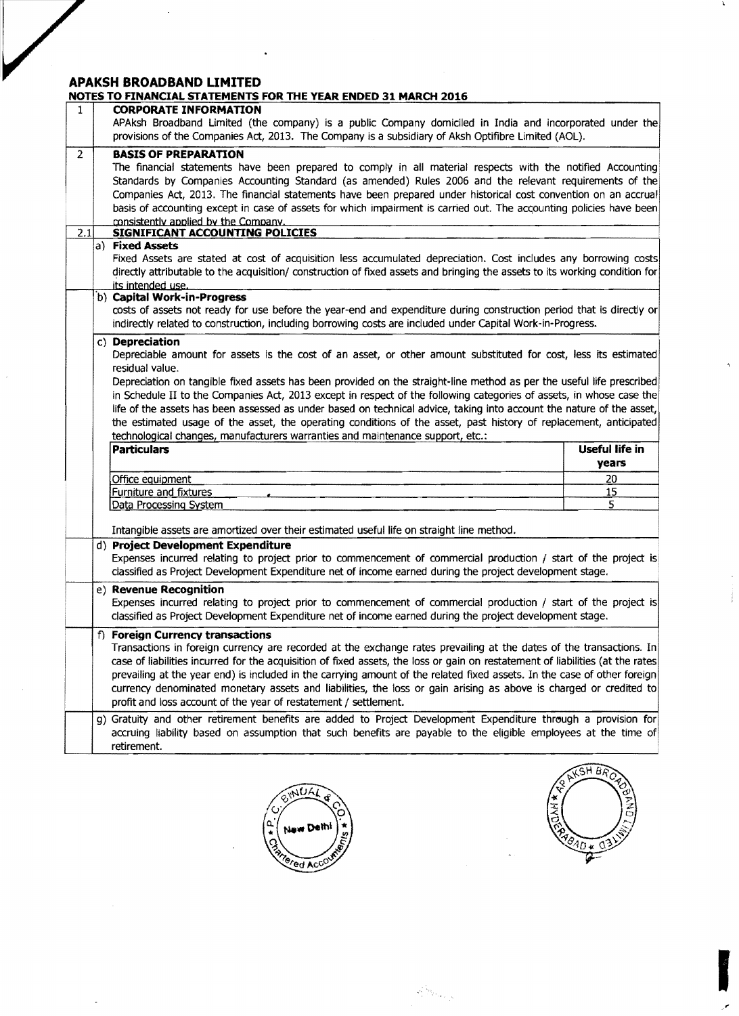$\bar{\lambda}$ 

 $\overline{a}$ 

| 1                     | <b>CORPORATE INFORMATION</b><br>APAksh Broadband Limited (the company) is a public Company domiciled in India and incorporated under the<br>provisions of the Companies Act, 2013. The Company is a subsidiary of Aksh Optifibre Limited (AOL).                                                                                                                                                                                                                                                                                                                                                                |                         |
|-----------------------|----------------------------------------------------------------------------------------------------------------------------------------------------------------------------------------------------------------------------------------------------------------------------------------------------------------------------------------------------------------------------------------------------------------------------------------------------------------------------------------------------------------------------------------------------------------------------------------------------------------|-------------------------|
| $\overline{2}$<br>2.1 | <b>BASIS OF PREPARATION</b><br>The financial statements have been prepared to comply in all material respects with the notified Accounting<br>Standards by Companies Accounting Standard (as amended) Rules 2006 and the relevant requirements of the<br>Companies Act, 2013. The financial statements have been prepared under historical cost convention on an accrual<br>basis of accounting except in case of assets for which impairment is carried out. The accounting policies have been<br>consistently applied by the Company.<br><b>SIGNIFICANT ACCOUNTING POLICIES</b>                              |                         |
|                       | a) Fixed Assets                                                                                                                                                                                                                                                                                                                                                                                                                                                                                                                                                                                                |                         |
|                       | Fixed Assets are stated at cost of acquisition less accumulated depreciation. Cost includes any borrowing costs<br>directly attributable to the acquisition/ construction of fixed assets and bringing the assets to its working condition for<br>its intended use.<br>b) Capital Work-in-Progress                                                                                                                                                                                                                                                                                                             |                         |
|                       | costs of assets not ready for use before the year-end and expenditure during construction period that is directly or<br>indirectly related to construction, including borrowing costs are included under Capital Work-in-Progress.                                                                                                                                                                                                                                                                                                                                                                             |                         |
|                       | c) Depreciation<br>Depreciable amount for assets is the cost of an asset, or other amount substituted for cost, less its estimated<br>residual value.                                                                                                                                                                                                                                                                                                                                                                                                                                                          |                         |
|                       | Depreciation on tangible fixed assets has been provided on the straight-line method as per the useful life prescribed<br>in Schedule II to the Companies Act, 2013 except in respect of the following categories of assets, in whose case the<br>life of the assets has been assessed as under based on technical advice, taking into account the nature of the asset,<br>the estimated usage of the asset, the operating conditions of the asset, past history of replacement, anticipated<br>technological changes, manufacturers warranties and maintenance support, etc.:                                  |                         |
|                       | <b>Particulars</b>                                                                                                                                                                                                                                                                                                                                                                                                                                                                                                                                                                                             | Useful life in<br>years |
|                       | Office equipment                                                                                                                                                                                                                                                                                                                                                                                                                                                                                                                                                                                               | <u>20</u>               |
|                       | Furniture and fixtures                                                                                                                                                                                                                                                                                                                                                                                                                                                                                                                                                                                         | 15                      |
|                       | Data Processing System                                                                                                                                                                                                                                                                                                                                                                                                                                                                                                                                                                                         | 5                       |
|                       | Intangible assets are amortized over their estimated useful life on straight line method.                                                                                                                                                                                                                                                                                                                                                                                                                                                                                                                      |                         |
|                       | d) Project Development Expenditure<br>Expenses incurred relating to project prior to commencement of commercial production / start of the project is<br>classified as Project Development Expenditure net of income earned during the project development stage.                                                                                                                                                                                                                                                                                                                                               |                         |
|                       |                                                                                                                                                                                                                                                                                                                                                                                                                                                                                                                                                                                                                |                         |
|                       | e) Revenue Recognition<br>Expenses incurred relating to project prior to commencement of commercial production / start of the project is<br>classified as Project Development Expenditure net of income earned during the project development stage.                                                                                                                                                                                                                                                                                                                                                           |                         |
|                       | f) Foreign Currency transactions<br>Transactions in foreign currency are recorded at the exchange rates prevailing at the dates of the transactions. In<br>case of liabilities incurred for the acquisition of fixed assets, the loss or gain on restatement of liabilities (at the rates<br>prevailing at the year end) is included in the carrying amount of the related fixed assets. In the case of other foreign<br>currency denominated monetary assets and liabilities, the loss or gain arising as above is charged or credited to<br>profit and loss account of the year of restatement / settlement. |                         |
|                       | g) Gratuity and other retirement benefits are added to Project Development Expenditure through a provision for<br>accruing liability based on assumption that such benefits are payable to the eligible employees at the time of<br>retirement.                                                                                                                                                                                                                                                                                                                                                                |                         |



 $\label{eq:1} \frac{\partial}{\partial t}\left\langle \hat{S}_{\mathcal{G}_{\mathcal{M}_{\mathcal{G}_{\mathcal{G}_{\mathcal{G}_{\mathcal{G}}}}}}}\right\rangle$ 



I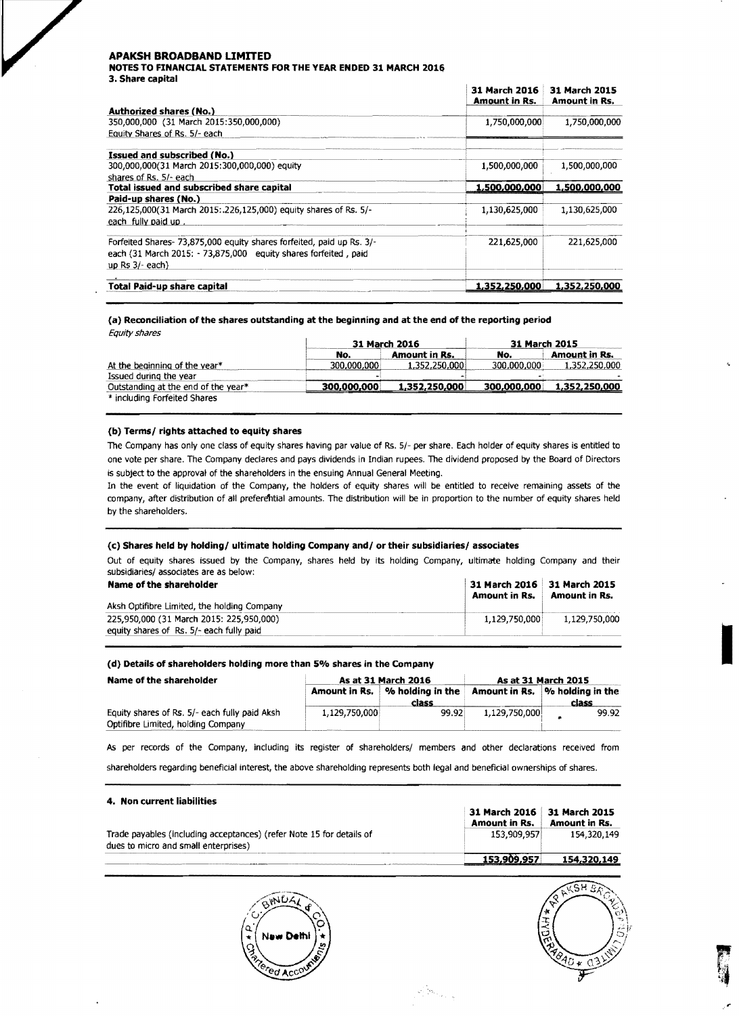NOTES TO FINANCIAL STATEMENTS FOR THE YEAR ENDED 31 MARCH 2016 3. Share capital

|                                                                       | 31 March 2016<br>Amount in Rs. | 31 March 2015<br>Amount in Rs. |
|-----------------------------------------------------------------------|--------------------------------|--------------------------------|
| <b>Authorized shares (No.)</b>                                        |                                |                                |
| 350,000,000 (31 March 2015:350,000,000)                               | 1,750,000,000                  | 1,750,000,000                  |
| Equity Shares of Rs. 5/- each                                         |                                |                                |
| <b>Issued and subscribed (No.)</b>                                    |                                |                                |
| 300,000,000(31 March 2015:300,000,000) equity                         | 1,500,000,000                  | 1,500,000,000                  |
| shares of Rs. 5/- each                                                |                                |                                |
| Total issued and subscribed share capital                             | 1,500,000,000                  | 1,500,000,000                  |
| Paid-up shares (No.)                                                  |                                |                                |
| 226,125,000(31 March 2015: .226,125,000) equity shares of Rs. 5/-     | 1,130,625,000                  | 1,130,625,000                  |
| each fully paid up                                                    |                                |                                |
| Forfeited Shares- 73,875,000 equity shares forfeited, paid up Rs. 3/- | 221,625,000                    | 221,625,000                    |
| each (31 March 2015: - 73,875,000 equity shares forfeited, paid       |                                |                                |
| up $Rs 3/-$ each)                                                     |                                |                                |
| Total Paid-up share capital                                           | 1,352,250,000                  | 1,352,250,000                  |

### (a) Reconciliation of the shares outstanding at the beginning and at the end of the reporting period Equity shares

|                                     | 31 March 2016 |               | 31 March 2015 |                      |
|-------------------------------------|---------------|---------------|---------------|----------------------|
|                                     | No.           | Amount in Rs. | No.           | <b>Amount in Rs.</b> |
| At the beginning of the year*       | 300,000,000   | 1,352,250,000 | 300.000.000   | 1,352,250,000        |
| Issued during the year              |               |               | $\sim$        |                      |
| Outstanding at the end of the year* | 300,000,000   | 1,352,250,000 | 300,000,000   | 1,352,250,000        |
| * including Forfeited Shares        |               |               |               |                      |

### (b) Terms/rights attached to equity shares

The Company has only one class of equity shares having par value of Rs. 5/- per share. Each holder of equity shares is entitled to one vote per share. The Company declares and pays dividends in Indian rupees. The dividend proposed by the Board of Directors is subject to the approval of the shareholders in the ensuing Annual General Meeting.

In the event of liquidation of the Company, the holders of equity shares will be entitled to receive remaining assets of the company, after distribution of all preferential amounts. The distribution will be in proportion to the number of equity shares held by the shareholders.

### (c) Shares held by holding/ultimate holding Company and/or their subsidiaries/associates

Out of equity shares issued by the Company, shares held by its holding Company, ultimate holding Company and their subsidiaries/ associates are as below:

| Name of the shareholder                     | 31 March 2016 31 March 2015<br>Amount in Rs. | <b>Amount in Rs.</b> |
|---------------------------------------------|----------------------------------------------|----------------------|
| Aksh Optifibre Limited, the holding Company |                                              |                      |
| 225.950.000 (31 March 2015: 225.950.000)    | 1.129.750.000                                | 1.129.750.000        |
| equity shares of Rs. 5/- each fully paid    |                                              |                      |

### (d) Details of shareholders holding more than 5% shares in the Company

| Name of the shareholder                                                             |               | As at 31 March 2016                       | As at 31 March 2015 |                                          |
|-------------------------------------------------------------------------------------|---------------|-------------------------------------------|---------------------|------------------------------------------|
|                                                                                     |               | Amount in Rs.   % holding in the<br>class |                     | Amount in Rs.  % holding in the<br>class |
| Equity shares of Rs. 5/- each fully paid Aksh<br>Optifibre Limited, holding Company | 1,129,750,000 | 99.92                                     | 1,129,750,000       | 99.92                                    |

As per records of the Company, including its register of shareholders/ members and other declarations received from

shareholders regarding beneficial interest, the above shareholding represents both legal and beneficial ownerships of shares.

### 4. Non current liabilities

|                                                                                                              | 31 March 2016 31 March 2015<br>Amount in Rs. | Amount in Rs. |
|--------------------------------------------------------------------------------------------------------------|----------------------------------------------|---------------|
| Trade payables (including acceptances) (refer Note 15 for details of<br>dues to micro and small enterprises) | 153.909.957                                  | 154.320.149   |
|                                                                                                              | 153.900.057                                  | 154 320 140   |

 $\mathbb{E}[\mathbf{s}_{\alpha_{\text{max}}} ]$ 



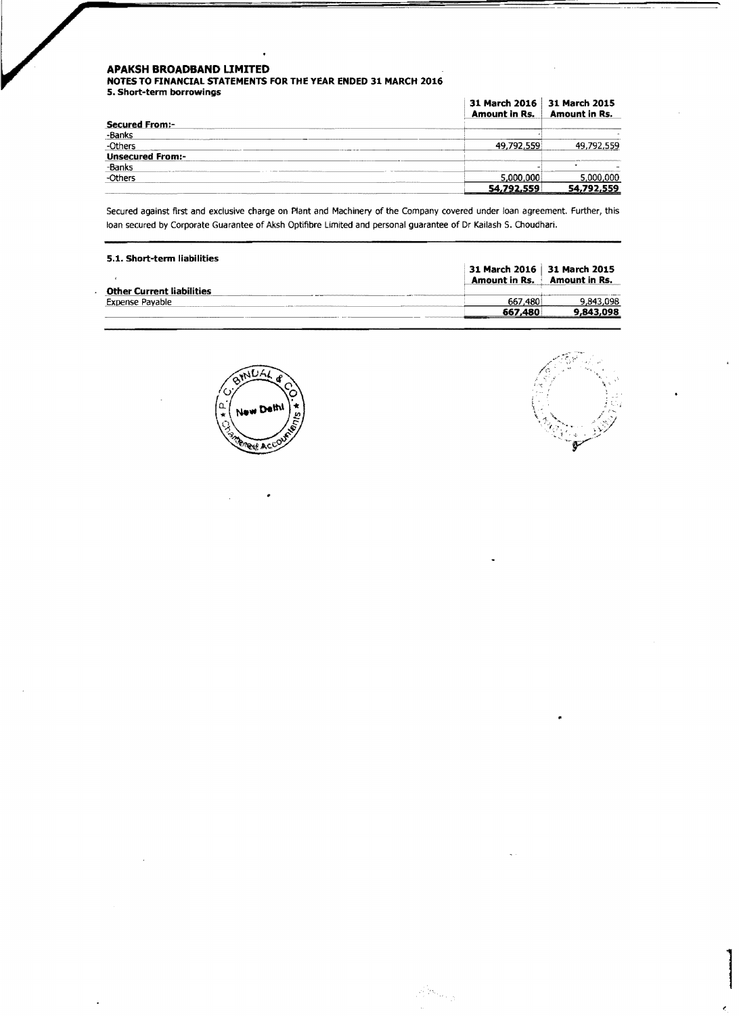**NOTES TO FINANCIAL STATEMENTS FOR THE YEAR ENDED 31 MARCH 2016** 

**S. Short-term borrowings** 

|                         | 31 March 2016   31 March 2015<br><b>Amount in Rs.</b> | Amount in Rs. |
|-------------------------|-------------------------------------------------------|---------------|
| <b>Secured From:-</b>   |                                                       |               |
| -Banks                  |                                                       |               |
| -Others                 | 49.792.559                                            | 49.792.559    |
| <b>Unsecured From:-</b> |                                                       |               |
| -Banks                  |                                                       |               |
| -Others                 | 5.000.000                                             | 5.000.000     |
|                         | 54,792.559                                            | 54.792.559    |

Secured against first and exclusive charge on Plant and Machinery of the Company covered under loan agreement. Further, this loan secured by Corporate Guarantee of Aksh Optifibre limited and personal guarantee of Dr Kailash S. Choudhari.

| 5.1. Short-term liabilities      |                                                       |                      |
|----------------------------------|-------------------------------------------------------|----------------------|
|                                  | 31 March 2016   31 March 2015<br><b>Amount in Rs.</b> | <b>Amount in Rs.</b> |
| <b>Other Current liabilities</b> |                                                       |                      |
| Expense Pavable                  | 667.480                                               | 9.843.098            |
|                                  | 667.480                                               | 9,843,098            |

Alban I





|<br>|<br>|<br>|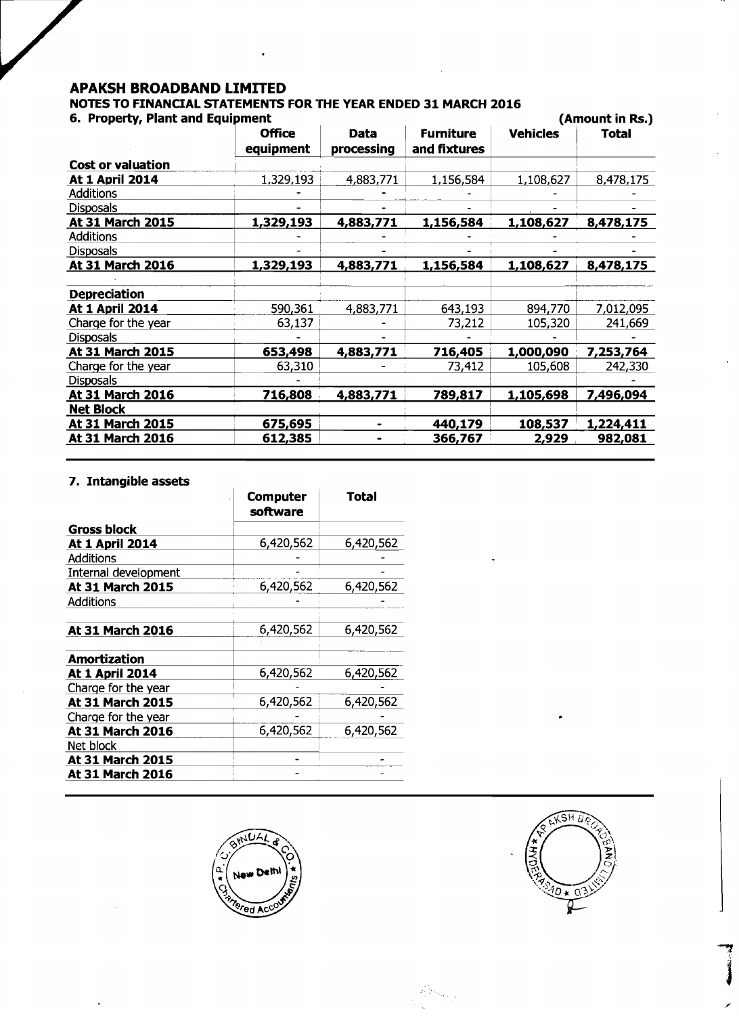# **APAKSH BROADBAND LIMITED NOTES TO FINANCIAL STATEMENTS FOR THE YEAR ENDED 31 MARCH 2016**

| 6. Property, Plant and Equipment |                            |                    |                                  |                 | (Amount in Rs.) |
|----------------------------------|----------------------------|--------------------|----------------------------------|-----------------|-----------------|
|                                  | <b>Office</b><br>equipment | Data<br>processing | <b>Furniture</b><br>and fixtures | <b>Vehicles</b> | <b>Total</b>    |
| <b>Cost or valuation</b>         |                            |                    |                                  |                 |                 |
| <b>At 1 April 2014</b>           | 1,329,193                  | 4,883,771          | 1,156,584                        | 1,108,627       | 8,478,175       |
| <b>Additions</b>                 |                            |                    |                                  |                 |                 |
| <b>Disposals</b>                 |                            |                    |                                  |                 |                 |
| At 31 March 2015                 | 1,329,193                  | 4,883,771          | 1,156,584                        | 1,108,627       | 8,478,175       |
| <b>Additions</b>                 |                            |                    |                                  |                 |                 |
| <b>Disposals</b>                 |                            |                    |                                  |                 |                 |
| At 31 March 2016                 | 1,329,193                  | 4,883,771          | 1,156,584                        | 1,108,627       | 8,478,175       |
| <b>Depreciation</b>              |                            |                    |                                  |                 |                 |
| At 1 April 2014                  | 590,361                    | 4,883,771          | 643,193                          | 894,770         | 7,012,095       |
| Charge for the year              | 63,137                     |                    | 73,212                           | 105,320         | 241,669         |
| <b>Disposals</b>                 |                            |                    |                                  |                 |                 |
| At 31 March 2015                 | 653,498                    | 4,883,771          | 716,405                          | 1,000,090       | 7,253,764       |
| Charge for the year              | 63,310                     |                    | 73,412                           | 105,608         | 242,330         |
| <b>Disposals</b>                 |                            |                    |                                  |                 |                 |
| At 31 March 2016                 | 716,808                    | 4,883,771          | 789,817                          | 1,105,698       | 7,496,094       |
| <b>Net Block</b>                 |                            |                    |                                  |                 |                 |
| At 31 March 2015                 | 675,695                    |                    | 440,179                          | 108,537         | 1,224,411       |
| At 31 March 2016                 | 612,385                    |                    | 366,767                          | 2,929           | 982,081         |

## **7. Intangible assets**

|                        | <b>Computer</b><br>software | <b>Total</b> |
|------------------------|-----------------------------|--------------|
| Gross block            |                             |              |
| At 1 April 2014        | 6,420,562                   | 6,420,562    |
| <b>Additions</b>       |                             |              |
| Internal development   |                             |              |
| At 31 March 2015       | 6,420,562                   | 6,420,562    |
| <b>Additions</b>       |                             |              |
| At 31 March 2016       | 6,420,562                   | 6,420,562    |
| Amortization           |                             |              |
| <b>At 1 April 2014</b> | 6,420,562                   | 6,420,562    |
| Charge for the year    |                             |              |
| At 31 March 2015       | 6,420,562                   | 6,420,562    |
| Charge for the year    |                             |              |
| At 31 March 2016       | 6,420,562                   | 6,420,562    |
| Net block              |                             |              |
| At 31 March 2015       |                             |              |
| At 31 March 2016       |                             |              |





 $\label{eq:1} \frac{1}{\sum_{i=1}^{n} \sum_{j=1}^{n} \sum_{j=1}^{n} \sum_{j=1}^{n} \sum_{j=1}^{n} \sum_{j=1}^{n} \sum_{j=1}^{n} \sum_{j=1}^{n} \sum_{j=1}^{n} \sum_{j=1}^{n} \sum_{j=1}^{n} \sum_{j=1}^{n} \sum_{j=1}^{n} \sum_{j=1}^{n} \sum_{j=1}^{n} \sum_{j=1}^{n} \sum_{j=1}^{n} \sum_{j=1}^{n} \sum_{j=1}^{n} \sum_{j=1}^{n} \sum_{j=1}^{$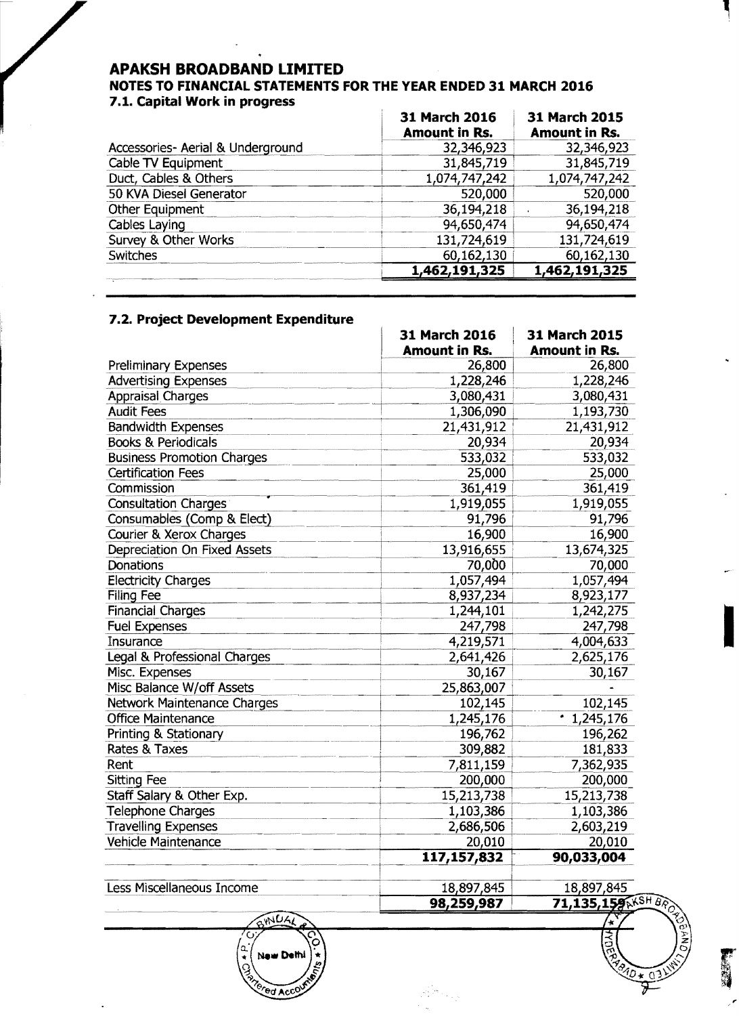### NOTES TO FINANCIAL STATEMENTS FOR THE YEAR ENDED 31 MARCH 2016 7.1. Capital Work in progress

| 31 March 2016<br>Amount in Rs. | <b>31 March 2015</b><br><b>Amount in Rs.</b> |
|--------------------------------|----------------------------------------------|
| 32,346,923                     | 32,346,923                                   |
| 31,845,719                     | 31,845,719                                   |
| 1,074,747,242                  | 1,074,747,242                                |
| 520,000                        | 520,000                                      |
| 36,194,218                     | 36,194,218                                   |
| 94,650,474                     | 94,650,474                                   |
| 131,724,619                    | 131,724,619                                  |
| 60,162,130                     | 60,162,130                                   |
| 1,462,191,325                  | 1,462,191,325                                |
|                                |                                              |

# 7.2. Project Development Expenditure

|                                   | 31 March 2016<br><b>Amount in Rs.</b> | 31 March 2015<br><b>Amount in Rs.</b> |
|-----------------------------------|---------------------------------------|---------------------------------------|
| <b>Preliminary Expenses</b>       | 26,800                                | 26,800                                |
| <b>Advertising Expenses</b>       | 1,228,246                             | 1,228,246                             |
| <b>Appraisal Charges</b>          | 3,080,431                             | 3,080,431                             |
| <b>Audit Fees</b>                 | 1,306,090                             | 1,193,730                             |
| <b>Bandwidth Expenses</b>         | 21,431,912                            | 21,431,912                            |
| <b>Books &amp; Periodicals</b>    | 20,934                                | 20,934                                |
| <b>Business Promotion Charges</b> | 533,032                               | 533,032                               |
| <b>Certification Fees</b>         | 25,000                                | 25,000                                |
| Commission                        | 361,419                               | 361,419                               |
| <b>Consultation Charges</b>       | 1,919,055                             | 1,919,055                             |
| Consumables (Comp & Elect)        | 91,796                                | 91,796                                |
| Courier & Xerox Charges           | 16,900                                | 16,900                                |
| Depreciation On Fixed Assets      | 13,916,655                            | 13,674,325                            |
| <b>Donations</b>                  | 70,000                                | 70,000                                |
| <b>Electricity Charges</b>        | 1,057,494                             | 1,057,494                             |
| Filing Fee                        | 8,937,234                             | 8,923,177                             |
| <b>Financial Charges</b>          | 1,244,101                             | 1,242,275                             |
| <b>Fuel Expenses</b>              | 247,798                               | 247,798                               |
| Insurance                         | 4,219,571                             | 4,004,633                             |
| Legal & Professional Charges      | 2,641,426                             | 2,625,176                             |
| Misc. Expenses                    | 30,167                                | 30,167                                |
| Misc Balance W/off Assets         | 25,863,007                            |                                       |
| Network Maintenance Charges       | 102,145                               | 102,145                               |
| <b>Office Maintenance</b>         | 1,245,176                             | 1,245,176                             |
| Printing & Stationary             | 196,762                               | 196,262                               |
| <b>Rates &amp; Taxes</b>          | 309,882                               | 181,833                               |
| Rent                              | 7,811,159                             | 7,362,935                             |
| <b>Sitting Fee</b>                | 200,000                               | 200,000                               |
| Staff Salary & Other Exp.         | 15,213,738                            | 15,213,738                            |
| <b>Telephone Charges</b>          | 1,103,386                             | 1,103,386                             |
| <b>Travelling Expenses</b>        | 2,686,506                             | 2,603,219                             |
| Vehicle Maintenance               | 20,010                                | 20,010                                |
|                                   | 117,157,832                           | 90,033,004                            |
| Less Miscellaneous Income         | 18,897,845                            | 18,897,845                            |
|                                   | 98,259,987                            | 71,135,159AKSH BA                     |
| BHILLAL                           |                                       | $\frac{4}{3}$                         |

ed Acci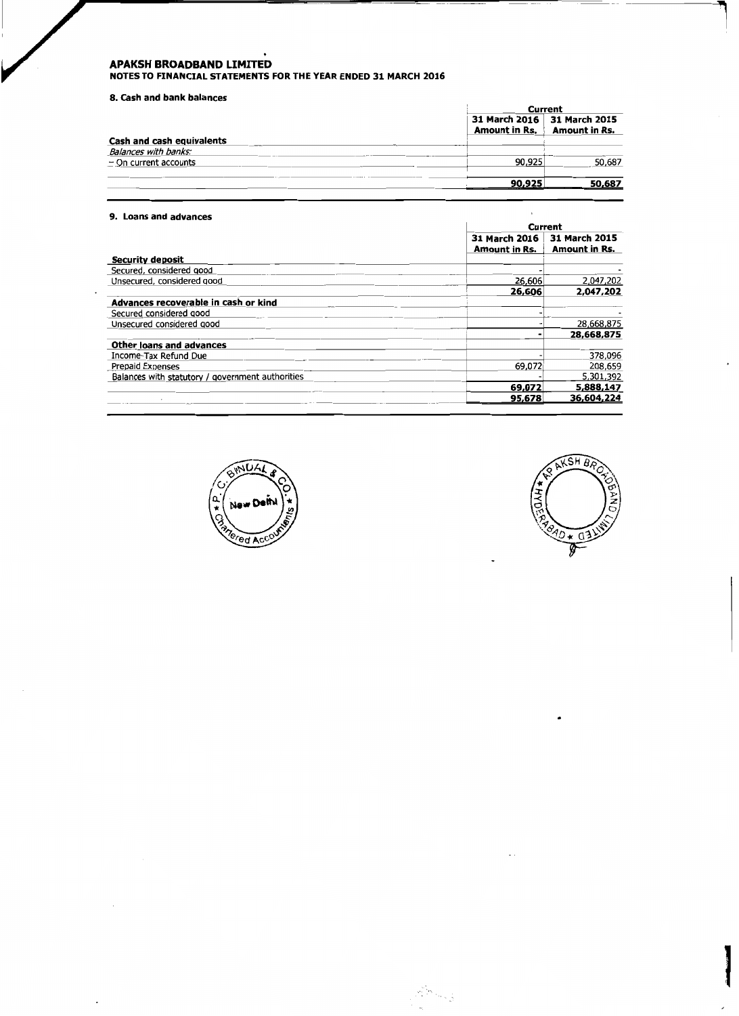**APAKSH BROADBAND LIMITED<br>NOTES TO FINANCIAL STATEMENTS FOR THE YEAR ENDED 31 MARCH 2016** 

### 8. Cash and bank balances

|                           | Current              |                                                     |
|---------------------------|----------------------|-----------------------------------------------------|
|                           | <b>Amount in Rs.</b> | 31 March 2016 31 March 2015<br><b>Amount in Rs.</b> |
| Cash and cash equivalents |                      |                                                     |
| Balances with banks:      |                      |                                                     |
| $-$ On current accounts   | 90,925               | 50,687                                              |
|                           | 90,925               | 50,687                                              |

### 9. Loans and advances

|                                                  | Current                        |                                       |
|--------------------------------------------------|--------------------------------|---------------------------------------|
|                                                  | 31 March 2016<br>Amount in Rs. | 31 March 2015<br><b>Amount in Rs.</b> |
| <b>Security deposit</b>                          |                                |                                       |
| Secured, considered good                         |                                |                                       |
| Unsecured, considered good                       | 26,606                         | 2,047,202                             |
|                                                  | 26,606                         | 2,047,202                             |
| Advances recoverable in cash or kind             |                                |                                       |
| Secured considered good                          |                                |                                       |
| Unsecured considered good                        |                                | 28,668,875                            |
|                                                  |                                | 28,668,875                            |
| Other loans and advances                         |                                |                                       |
| Income-Tax Refund Due                            |                                | 378,096                               |
| Prepaid Expenses                                 | 69.072                         | 208.659                               |
| Balances with statutory / government authorities |                                | 5,301,392                             |
|                                                  | 69,072                         | 5,888,147                             |
|                                                  | 95,678                         | 36,604,224                            |

 $\mathcal{L}^{\mathcal{L}_\text{max}}_{\mathcal{L}_\text{max}}$ 





 $\mathcal{L}^{\text{max}}_{\text{max}}$  and  $\mathcal{L}^{\text{max}}_{\text{max}}$